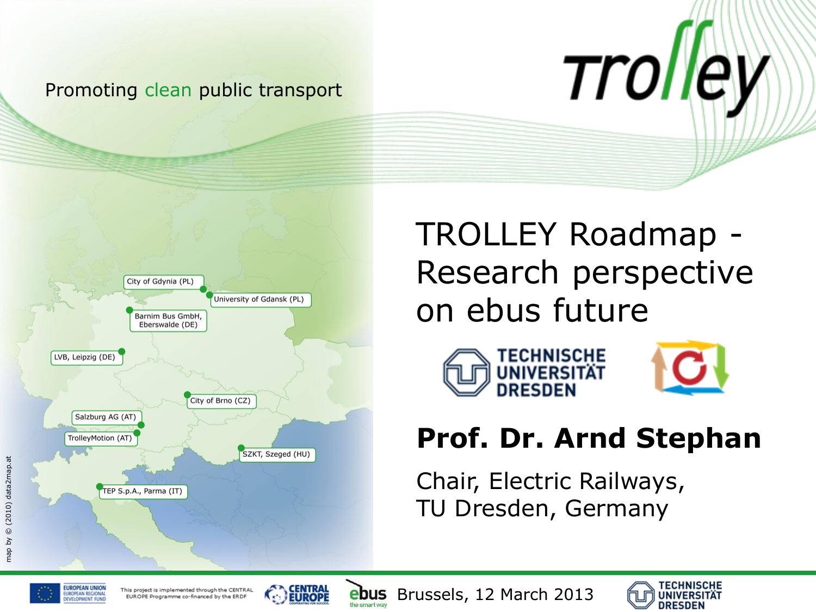#### Promoting clean public transport



TROLLEY Roadmap - Research perspective on ebus future





*Trolley* 

#### **Prof. Dr. Arnd Stephan**

Chair, Electric Railways, TU Dresden, Germany





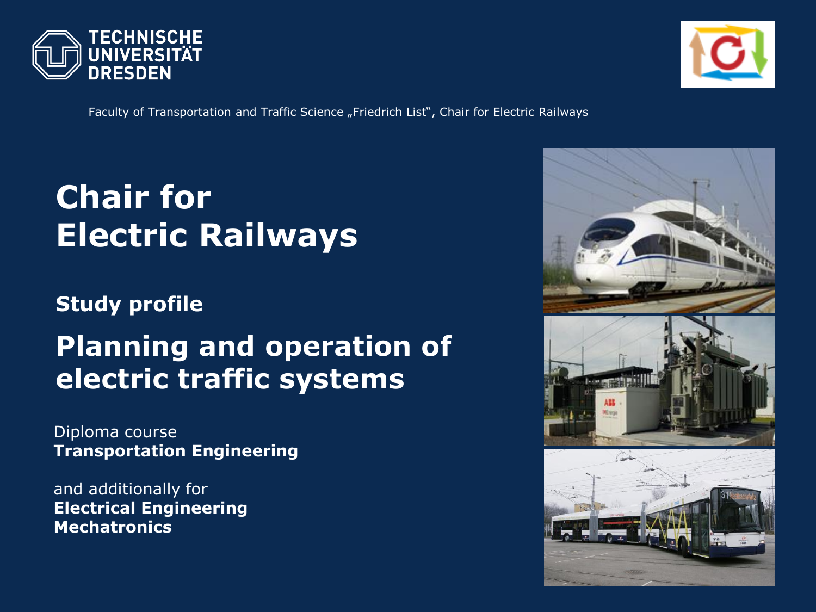



Faculty of Transportation and Traffic Science "Friedrich List", Chair for Electric Railways

### **Chair for Electric Railways**

**Study profile**

#### **Planning and operation of electric traffic systems**

Diploma course **Transportation Engineering**

and additionally for **Electrical Engineering Mechatronics**

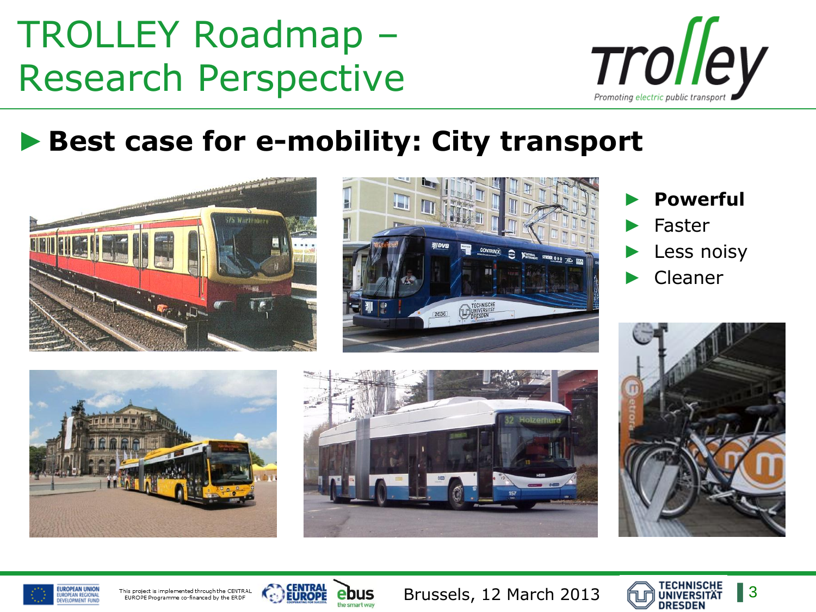

#### ►**Best case for e-mobility: City transport**





► **Powerful** ► Faster Less noisy ► Cleaner









This project is implemented through the CENTRAL EUROPE Programme co-financed by the ERDF



bus

Brussels, 12 March 2013

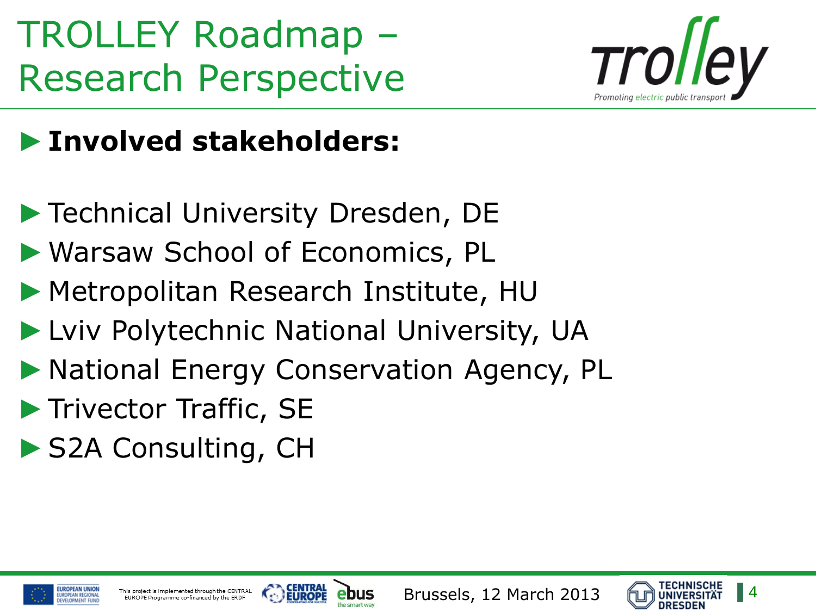

#### ►**Involved stakeholders:**

- ▶ Technical University Dresden, DE
- ►Warsaw School of Economics, PL
- ▶ Metropolitan Research Institute, HU
- ▶ Lviv Polytechnic National University, UA
- ▶ National Energy Conservation Agency, PL
- ▶ Trivector Traffic, SE
- ▶ S2A Consulting, CH





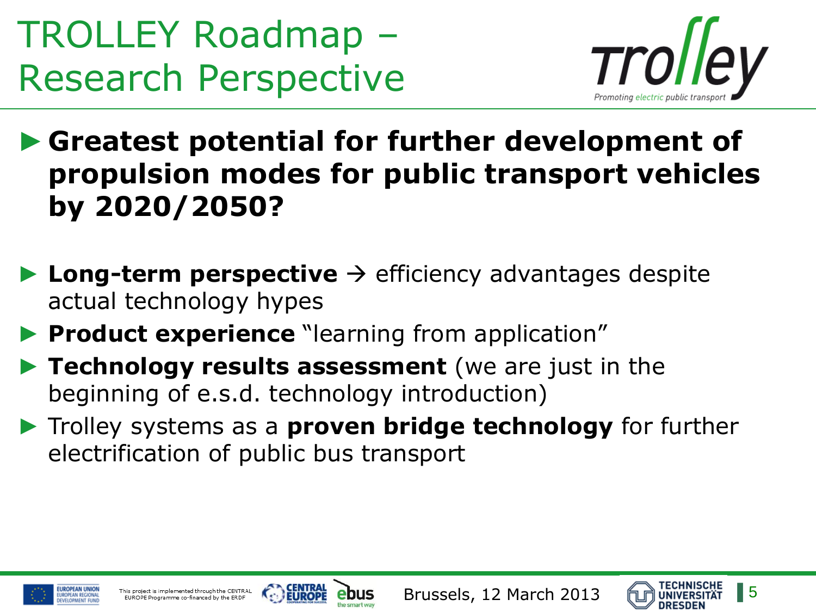

▶ Greatest potential for further development of **propulsion modes for public transport vehicles by 2020/2050?**

- $\blacktriangleright$  **Long-term perspective**  $\rightarrow$  efficiency advantages despite actual technology hypes
- **Product experience** "learning from application"
- ► **Technology results assessment** (we are just in the beginning of e.s.d. technology introduction)
- ► Trolley systems as a **proven bridge technology** for further electrification of public bus transport





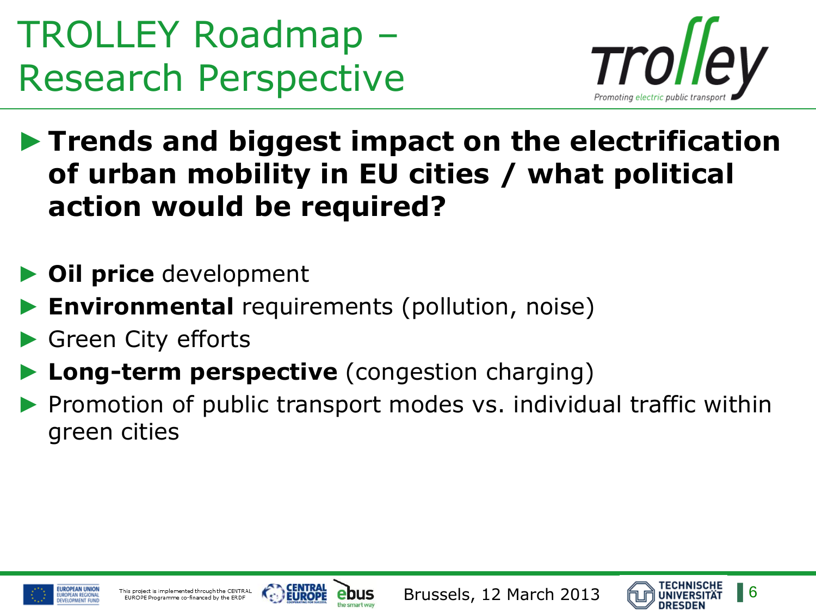

►**Trends and biggest impact on the electrification of urban mobility in EU cities / what political action would be required?**

- ► **Oil price** development
- **Environmental** requirements (pollution, noise)
- Green City efforts
- **Long-term perspective** (congestion charging)
- Promotion of public transport modes vs. individual traffic within green cities





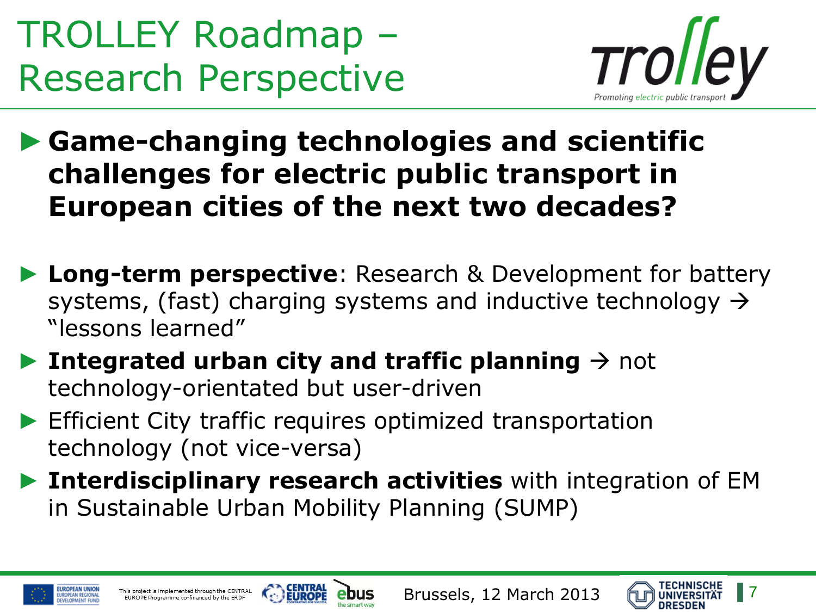

►**Game-changing technologies and scientific challenges for electric public transport in European cities of the next two decades?**

- ► **Long-term perspective**: Research & Development for battery systems, (fast) charging systems and inductive technology  $\rightarrow$ "lessons learned"
- **Integrated urban city and traffic planning**  $\rightarrow$  **not** technology-orientated but user-driven
- ▶ Efficient City traffic requires optimized transportation technology (not vice-versa)
- ► **Interdisciplinary research activities** with integration of EM in Sustainable Urban Mobility Planning (SUMP)





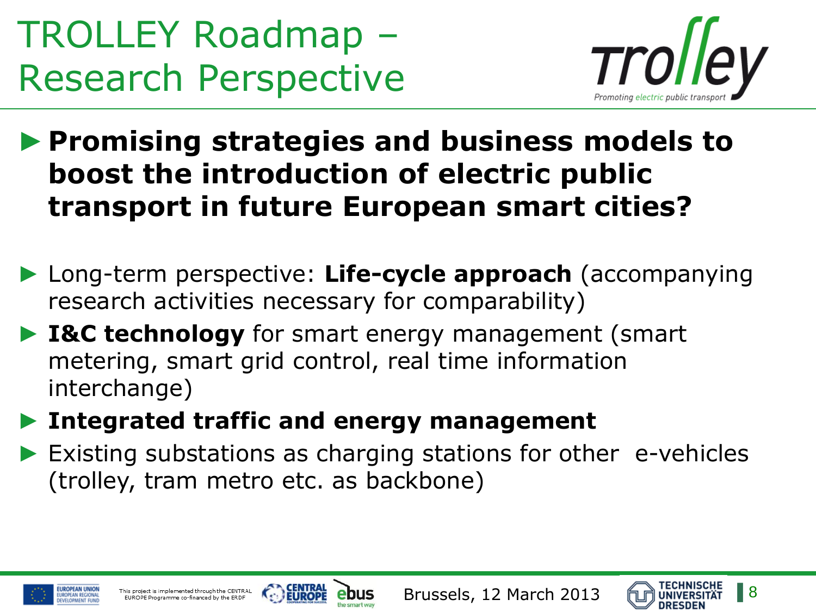

▶ Promising strategies and business models to **boost the introduction of electric public transport in future European smart cities?**

- ► Long-term perspective: **Life-cycle approach** (accompanying research activities necessary for comparability)
- ► **I&C technology** for smart energy management (smart metering, smart grid control, real time information interchange)
- ► **Integrated traffic and energy management**
- ▶ Existing substations as charging stations for other e-vehicles (trolley, tram metro etc. as backbone)





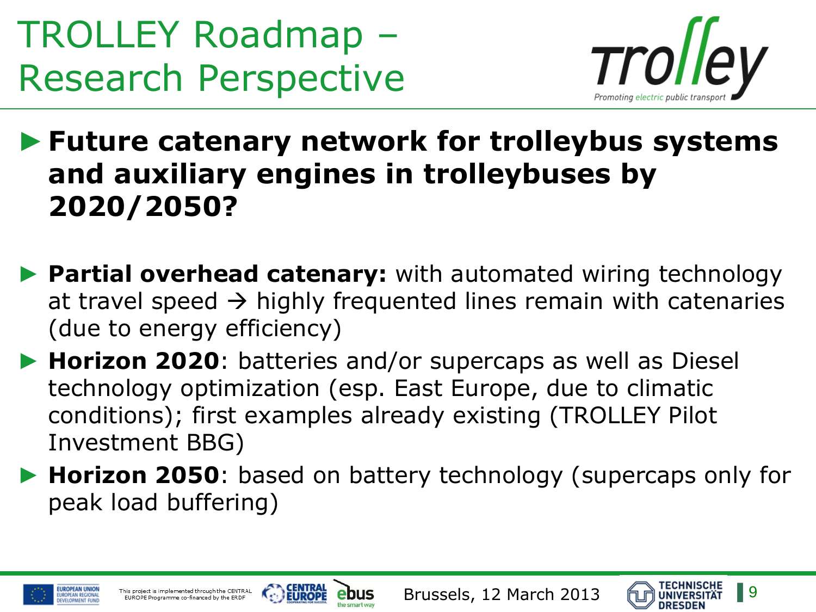

►**Future catenary network for trolleybus systems and auxiliary engines in trolleybuses by 2020/2050?**

- ► **Partial overhead catenary:** with automated wiring technology at travel speed  $\rightarrow$  highly frequented lines remain with catenaries (due to energy efficiency)
- ► **Horizon 2020**: batteries and/or supercaps as well as Diesel technology optimization (esp. East Europe, due to climatic conditions); first examples already existing (TROLLEY Pilot Investment BBG)
- ► **Horizon 2050**: based on battery technology (supercaps only for peak load buffering)





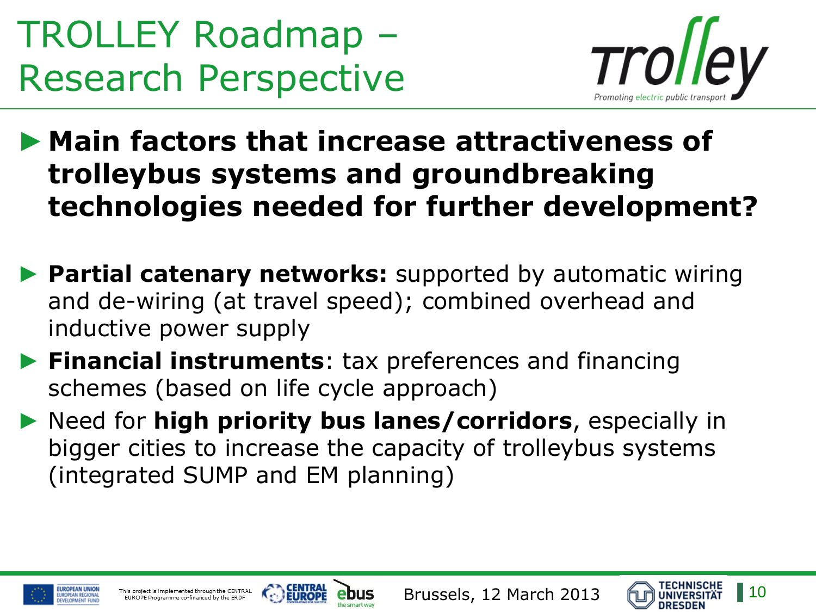

▶ Main factors that increase attractiveness of **trolleybus systems and groundbreaking technologies needed for further development?**

- ▶ Partial catenary networks: supported by automatic wiring and de-wiring (at travel speed); combined overhead and inductive power supply
- ► **Financial instruments**: tax preferences and financing schemes (based on life cycle approach)
- ► Need for **high priority bus lanes/corridors**, especially in bigger cities to increase the capacity of trolleybus systems (integrated SUMP and EM planning)





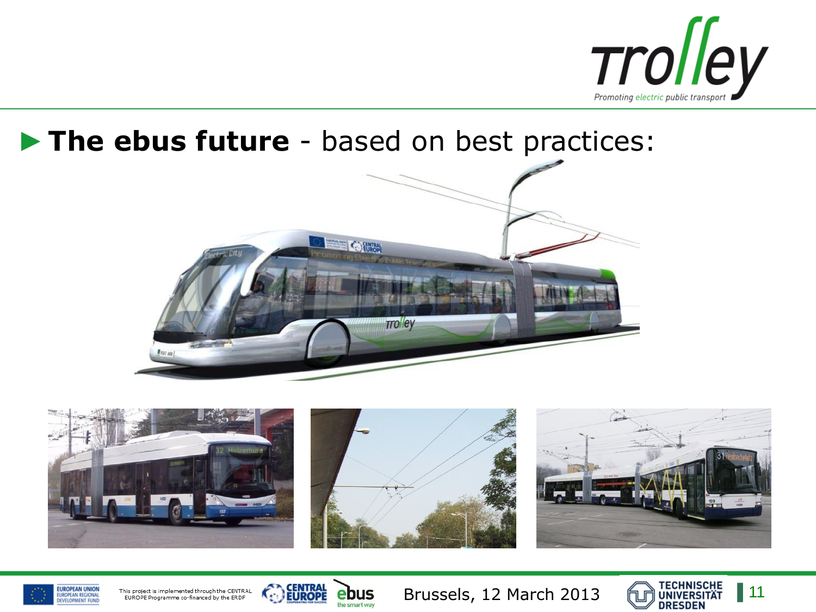

#### ►**The ebus future** - based on best practices:







This project is implemented through the CENTRAL EUROPE Programme co-financed by the ERDF



Brussels, 12 March 2013